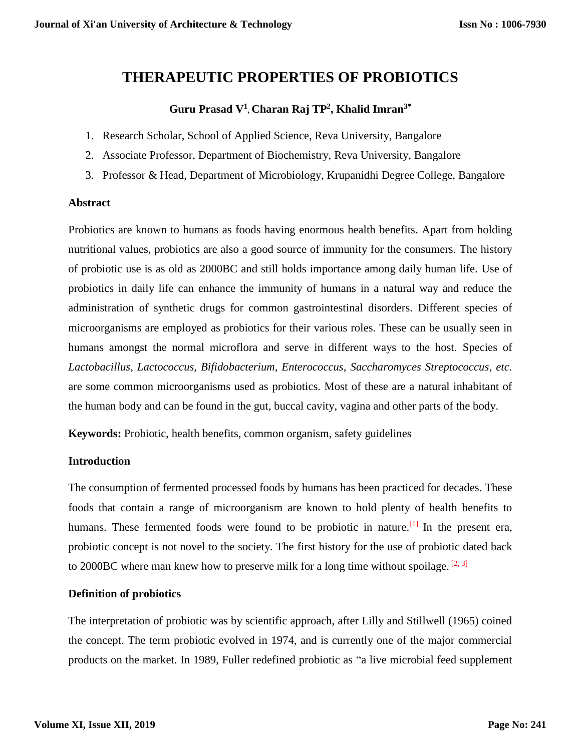# **THERAPEUTIC PROPERTIES OF PROBIOTICS**

## **Guru Prasad V<sup>1</sup> , Charan Raj TP<sup>2</sup> , Khalid Imran3\***

- 1. Research Scholar, School of Applied Science, Reva University, Bangalore
- 2. Associate Professor, Department of Biochemistry, Reva University, Bangalore
- 3. Professor & Head, Department of Microbiology, Krupanidhi Degree College, Bangalore

#### **Abstract**

Probiotics are known to humans as foods having enormous health benefits. Apart from holding nutritional values, probiotics are also a good source of immunity for the consumers. The history of probiotic use is as old as 2000BC and still holds importance among daily human life. Use of probiotics in daily life can enhance the immunity of humans in a natural way and reduce the administration of synthetic drugs for common gastrointestinal disorders. Different species of microorganisms are employed as probiotics for their various roles. These can be usually seen in humans amongst the normal microflora and serve in different ways to the host. Species of *Lactobacillus*, *Lactococcus, Bifidobacterium, Enterococcus, Saccharomyces Streptococcus, etc.* are some common microorganisms used as probiotics. Most of these are a natural inhabitant of the human body and can be found in the gut, buccal cavity, vagina and other parts of the body.

**Keywords:** Probiotic, health benefits, common organism, safety guidelines

### **Introduction**

The consumption of fermented processed foods by humans has been practiced for decades. These foods that contain a range of microorganism are known to hold plenty of health benefits to humans. These fermented foods were found to be probiotic in nature.<sup>[1]</sup> In the present era, probiotic concept is not novel to the society. The first history for the use of probiotic dated back to 2000BC where man knew how to preserve milk for a long time without spoilage.<sup>[2, 3]</sup>

### **Definition of probiotics**

The interpretation of probiotic was by scientific approach, after Lilly and Stillwell (1965) coined the concept. The term probiotic evolved in 1974, and is currently one of the major commercial products on the market. In 1989, Fuller redefined probiotic as "a live microbial feed supplement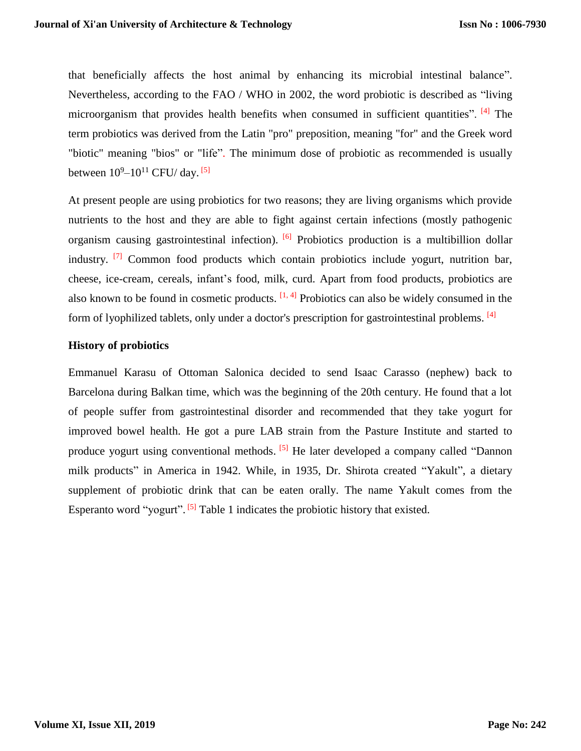that beneficially affects the host animal by enhancing its microbial intestinal balance". Nevertheless, according to the FAO / WHO in 2002, the word probiotic is described as "living microorganism that provides health benefits when consumed in sufficient quantities". [4] The term probiotics was derived from the Latin "pro" preposition, meaning "for" and the Greek word "biotic" meaning "bios" or "life". The minimum dose of probiotic as recommended is usually between  $10^9 - 10^{11}$  CFU/day.  $^{[5]}$ 

At present people are using probiotics for two reasons; they are living organisms which provide nutrients to the host and they are able to fight against certain infections (mostly pathogenic organism causing gastrointestinal infection). <sup>[6]</sup> Probiotics production is a multibillion dollar industry.  $\begin{bmatrix} 7 \end{bmatrix}$  Common food products which contain probiotics include yogurt, nutrition bar, cheese, ice-cream, cereals, infant's food, milk, curd. Apart from food products, probiotics are also known to be found in cosmetic products.  $[1, 4]$  Probiotics can also be widely consumed in the form of lyophilized tablets, only under a doctor's prescription for gastrointestinal problems. <sup>[4]</sup>

### **History of probiotics**

Emmanuel Karasu of Ottoman Salonica decided to send Isaac Carasso (nephew) back to Barcelona during Balkan time, which was the beginning of the 20th century. He found that a lot of people suffer from gastrointestinal disorder and recommended that they take yogurt for improved bowel health. He got a pure LAB strain from the Pasture Institute and started to produce yogurt using conventional methods. <sup>[5]</sup> He later developed a company called "Dannon milk products" in America in 1942. While, in 1935, Dr. Shirota created "Yakult", a dietary supplement of probiotic drink that can be eaten orally. The name Yakult comes from the Esperanto word "yogurt". <sup>[5]</sup> Table 1 indicates the probiotic history that existed.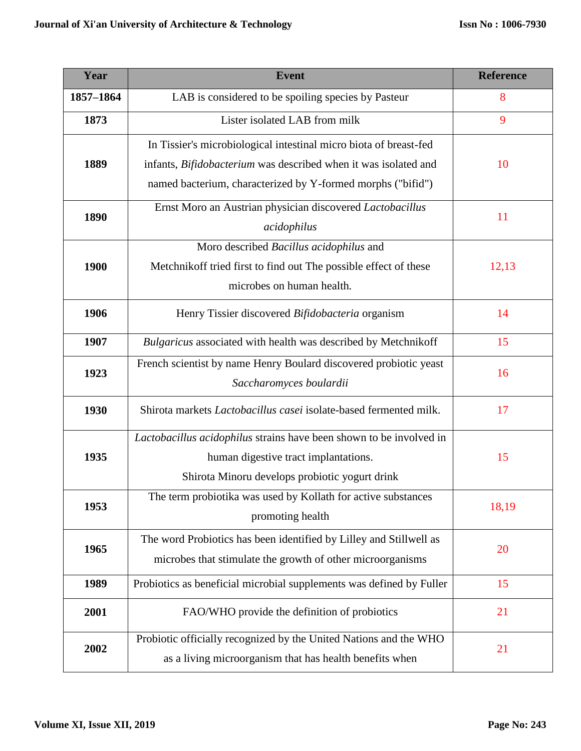| Year      | <b>Event</b>                                                             | <b>Reference</b> |  |
|-----------|--------------------------------------------------------------------------|------------------|--|
| 1857-1864 | LAB is considered to be spoiling species by Pasteur                      | 8                |  |
| 1873      | Lister isolated LAB from milk                                            | 9                |  |
| 1889      | In Tissier's microbiological intestinal micro biota of breast-fed        | 10               |  |
|           | infants, <i>Bifidobacterium</i> was described when it was isolated and   |                  |  |
|           | named bacterium, characterized by Y-formed morphs ("bifid")              |                  |  |
| 1890      | Ernst Moro an Austrian physician discovered Lactobacillus                | 11               |  |
|           | acidophilus                                                              |                  |  |
|           | Moro described Bacillus acidophilus and                                  |                  |  |
| 1900      | Metchnikoff tried first to find out The possible effect of these         | 12,13            |  |
|           | microbes on human health.                                                |                  |  |
| 1906      | Henry Tissier discovered Bifidobacteria organism                         |                  |  |
| 1907      | Bulgaricus associated with health was described by Metchnikoff           | 15               |  |
|           | French scientist by name Henry Boulard discovered probiotic yeast        | 16               |  |
| 1923      | Saccharomyces boulardii                                                  |                  |  |
| 1930      | Shirota markets <i>Lactobacillus casei</i> isolate-based fermented milk. |                  |  |
|           | Lactobacillus acidophilus strains have been shown to be involved in      |                  |  |
| 1935      | human digestive tract implantations.                                     | 15               |  |
|           | Shirota Minoru develops probiotic yogurt drink                           |                  |  |
| 1953      | The term probiotika was used by Kollath for active substances            | 18,19            |  |
|           | promoting health                                                         |                  |  |
| 1965      | The word Probiotics has been identified by Lilley and Stillwell as       | 20               |  |
|           | microbes that stimulate the growth of other microorganisms               |                  |  |
| 1989      | Probiotics as beneficial microbial supplements was defined by Fuller     | 15               |  |
| 2001      | FAO/WHO provide the definition of probiotics                             | 21               |  |
| 2002      | Probiotic officially recognized by the United Nations and the WHO        | 21               |  |
|           | as a living microorganism that has health benefits when                  |                  |  |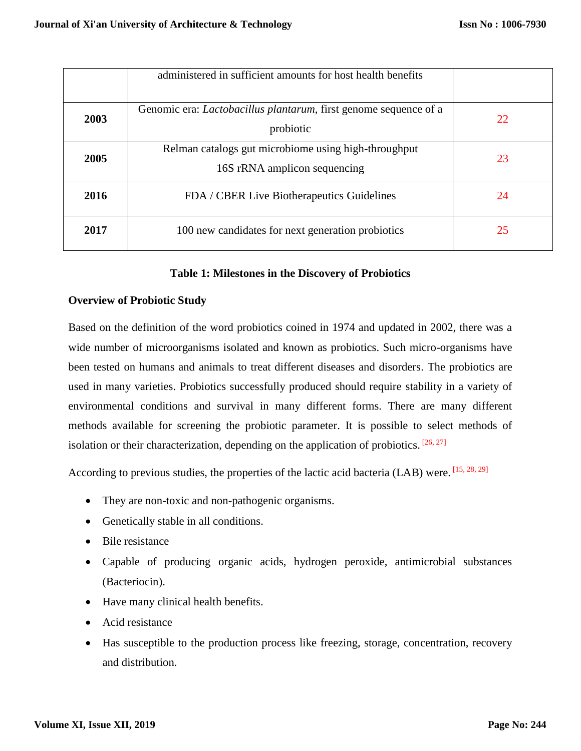|      | administered in sufficient amounts for host health benefits                           |    |
|------|---------------------------------------------------------------------------------------|----|
| 2003 | Genomic era: <i>Lactobacillus plantarum</i> , first genome sequence of a<br>probiotic | 22 |
| 2005 | Relman catalogs gut microbiome using high-throughput<br>16S rRNA amplicon sequencing  | 23 |
| 2016 | FDA / CBER Live Biotherapeutics Guidelines                                            | 24 |
| 2017 | 100 new candidates for next generation probiotics                                     | 25 |

### **Table 1: Milestones in the Discovery of Probiotics**

### **Overview of Probiotic Study**

Based on the definition of the word probiotics coined in 1974 and updated in 2002, there was a wide number of microorganisms isolated and known as probiotics. Such micro-organisms have been tested on humans and animals to treat different diseases and disorders. The probiotics are used in many varieties. Probiotics successfully produced should require stability in a variety of environmental conditions and survival in many different forms. There are many different methods available for screening the probiotic parameter. It is possible to select methods of isolation or their characterization, depending on the application of probiotics.  $[26, 27]$ 

According to previous studies, the properties of the lactic acid bacteria (LAB) were. [15, 28, 29]

- They are non-toxic and non-pathogenic organisms.
- Genetically stable in all conditions.
- Bile resistance
- Capable of producing organic acids, hydrogen peroxide, antimicrobial substances (Bacteriocin).
- Have many clinical health benefits.
- Acid resistance
- Has susceptible to the production process like freezing, storage, concentration, recovery and distribution.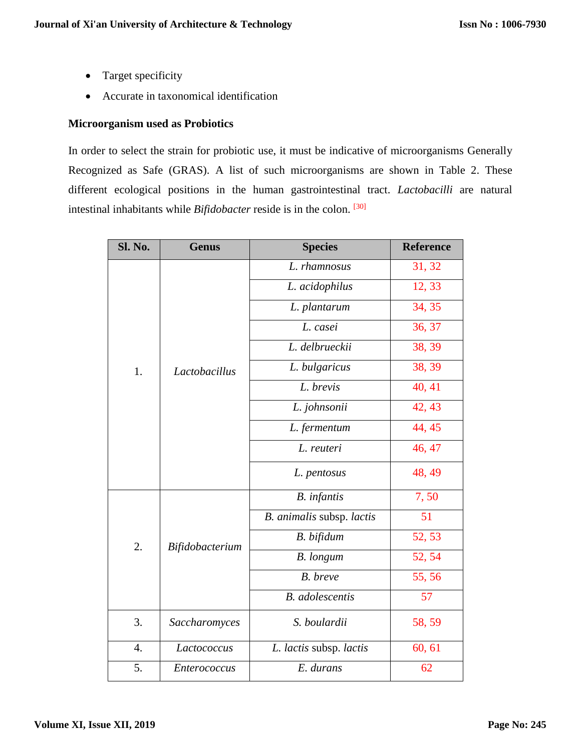- Target specificity
- Accurate in taxonomical identification

## **Microorganism used as Probiotics**

In order to select the strain for probiotic use, it must be indicative of microorganisms Generally Recognized as Safe (GRAS). A list of such microorganisms are shown in Table 2. These different ecological positions in the human gastrointestinal tract. *Lactobacilli* are natural intestinal inhabitants while *Bifidobacter* reside is in the colon. [30]

| Sl. No. | <b>Genus</b>    | <b>Species</b>            | <b>Reference</b> |
|---------|-----------------|---------------------------|------------------|
|         | Lactobacillus   | L. rhamnosus              | 31, 32           |
|         |                 | L. acidophilus            | 12, 33           |
|         |                 | L. plantarum              | 34, 35           |
|         |                 | L. casei                  | 36, 37           |
|         |                 | L. delbrueckii            | 38, 39           |
| 1.      |                 | L. bulgaricus             | 38, 39           |
|         |                 | L. brevis                 | 40, 41           |
|         |                 | L. johnsonii              | 42, 43           |
|         |                 | L. fermentum              | 44, 45           |
|         |                 | L. reuteri                | 46, 47           |
|         |                 | L. pentosus               | 48, 49           |
|         | Bifidobacterium | <b>B.</b> infantis        | 7,50             |
|         |                 | B. animalis subsp. lactis | 51               |
| 2.      |                 | B. bifidum                | 52, 53           |
|         |                 | <b>B.</b> longum          | 52, 54           |
|         |                 | B. breve                  | 55,56            |
|         |                 | <b>B.</b> adolescentis    | 57               |
| 3.      | Saccharomyces   | S. boulardii              | 58, 59           |
| 4.      | Lactococcus     | L. lactis subsp. lactis   | 60, 61           |
| 5.      | Enterococcus    | E. durans                 | 62               |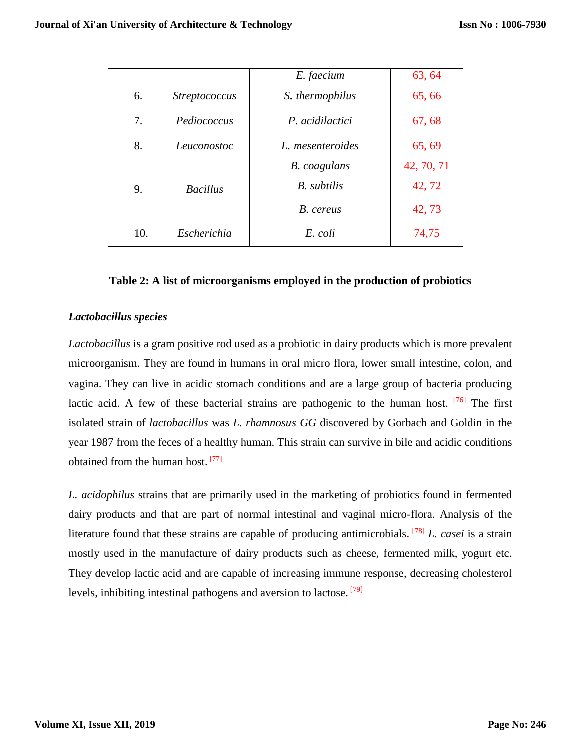|     |                      | E. faecium          | 63, 64     |
|-----|----------------------|---------------------|------------|
| 6.  | <b>Streptococcus</b> | S. thermophilus     | 65,66      |
| 7.  | Pediococcus          | P. acidilactici     | 67, 68     |
| 8.  | Leuconostoc          | L. mesenteroides    | 65, 69     |
|     |                      | <b>B.</b> coagulans | 42, 70, 71 |
| 9.  | <b>Bacillus</b>      | <b>B.</b> subtilis  | 42, 72     |
|     |                      | B. cereus           | 42, 73     |
| 10. | Escherichia          | E. coli             | 74,75      |

#### **Table 2: A list of microorganisms employed in the production of probiotics**

#### *Lactobacillus species*

*Lactobacillus* is a gram positive rod used as a probiotic in dairy products which is more prevalent microorganism. They are found in humans in oral micro flora, lower small intestine, colon, and vagina. They can live in acidic stomach conditions and are a large group of bacteria producing lactic acid. A few of these bacterial strains are pathogenic to the human host. <sup>[76]</sup> The first isolated strain of *lactobacillus* was *L. rhamnosus GG* discovered by Gorbach and Goldin in the year 1987 from the feces of a healthy human. This strain can survive in bile and acidic conditions obtained from the human host.<sup>[77]</sup>

*L. acidophilus* strains that are primarily used in the marketing of probiotics found in fermented dairy products and that are part of normal intestinal and vaginal micro-flora. Analysis of the literature found that these strains are capable of producing antimicrobials. [78] *L. casei* is a strain mostly used in the manufacture of dairy products such as cheese, fermented milk, yogurt etc. They develop lactic acid and are capable of increasing immune response, decreasing cholesterol levels, inhibiting intestinal pathogens and aversion to lactose.<sup>[79]</sup>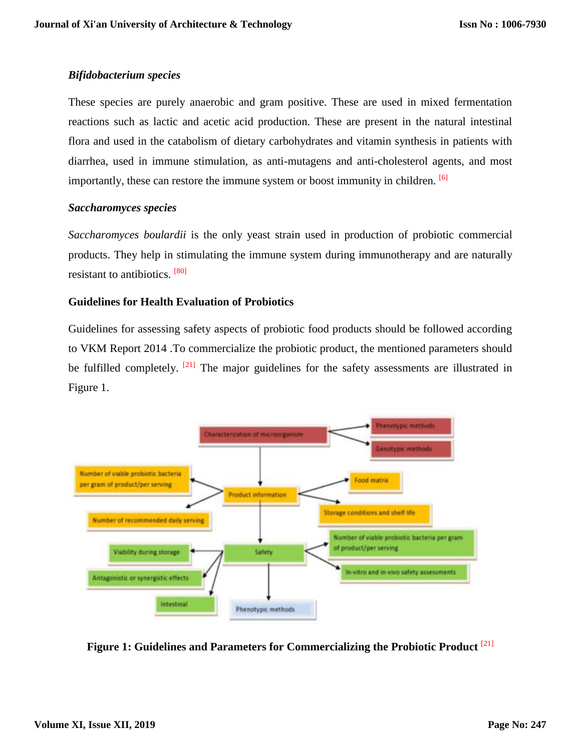## *Bifidobacterium species*

These species are purely anaerobic and gram positive. These are used in mixed fermentation reactions such as lactic and acetic acid production. These are present in the natural intestinal flora and used in the catabolism of dietary carbohydrates and vitamin synthesis in patients with diarrhea, used in immune stimulation, as anti-mutagens and anti-cholesterol agents, and most importantly, these can restore the immune system or boost immunity in children. <sup>[6]</sup>

## *Saccharomyces species*

*Saccharomyces boulardii* is the only yeast strain used in production of probiotic commercial products. They help in stimulating the immune system during immunotherapy and are naturally resistant to antibiotics. <sup>[80]</sup>

## **Guidelines for Health Evaluation of Probiotics**

Guidelines for assessing safety aspects of probiotic food products should be followed according to VKM Report 2014 .To commercialize the probiotic product, the mentioned parameters should be fulfilled completely.  $[21]$  The major guidelines for the safety assessments are illustrated in Figure 1.



**Figure 1: Guidelines and Parameters for Commercializing the Probiotic Product** [21]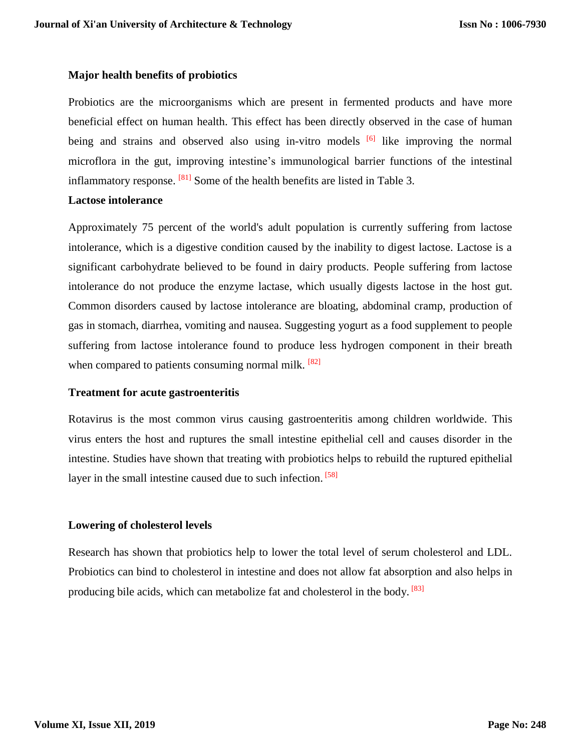#### **Major health benefits of probiotics**

Probiotics are the microorganisms which are present in fermented products and have more beneficial effect on human health. This effect has been directly observed in the case of human being and strains and observed also using in-vitro models  $[6]$  like improving the normal microflora in the gut, improving intestine's immunological barrier functions of the intestinal inflammatory response.  $[81]$  Some of the health benefits are listed in Table 3.

#### **Lactose intolerance**

Approximately 75 percent of the world's adult population is currently suffering from lactose intolerance, which is a digestive condition caused by the inability to digest lactose. Lactose is a significant carbohydrate believed to be found in dairy products. People suffering from lactose intolerance do not produce the enzyme lactase, which usually digests lactose in the host gut. Common disorders caused by lactose intolerance are bloating, abdominal cramp, production of gas in stomach, diarrhea, vomiting and nausea. Suggesting yogurt as a food supplement to people suffering from lactose intolerance found to produce less hydrogen component in their breath when compared to patients consuming normal milk.  $[82]$ 

#### **Treatment for acute gastroenteritis**

Rotavirus is the most common virus causing gastroenteritis among children worldwide. This virus enters the host and ruptures the small intestine epithelial cell and causes disorder in the intestine. Studies have shown that treating with probiotics helps to rebuild the ruptured epithelial layer in the small intestine caused due to such infection. [58]

### **Lowering of cholesterol levels**

Research has shown that probiotics help to lower the total level of serum cholesterol and LDL. Probiotics can bind to cholesterol in intestine and does not allow fat absorption and also helps in producing bile acids, which can metabolize fat and cholesterol in the body. <sup>[83]</sup>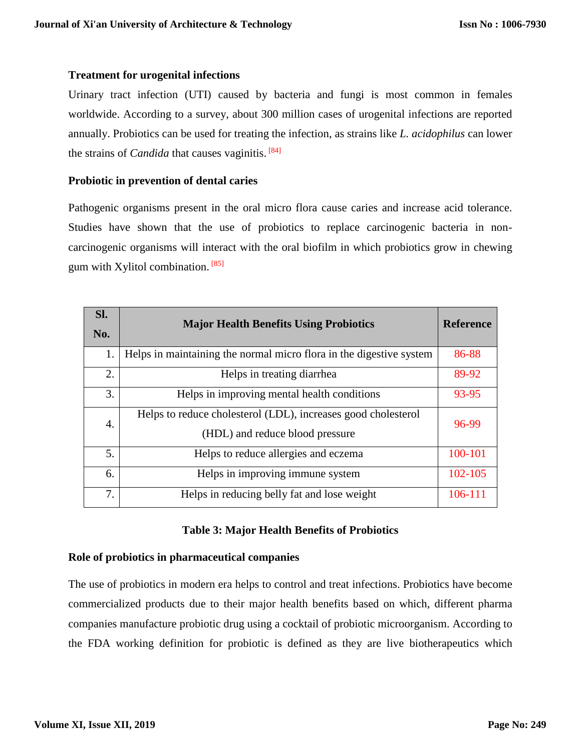## **Treatment for urogenital infections**

Urinary tract infection (UTI) caused by bacteria and fungi is most common in females worldwide. According to a survey, about 300 million cases of urogenital infections are reported annually. Probiotics can be used for treating the infection, as strains like *L. acidophilus* can lower the strains of *Candida* that causes vaginitis. [84]

## **Probiotic in prevention of dental caries**

Pathogenic organisms present in the oral micro flora cause caries and increase acid tolerance. Studies have shown that the use of probiotics to replace carcinogenic bacteria in noncarcinogenic organisms will interact with the oral biofilm in which probiotics grow in chewing gum with Xylitol combination.<sup>[85]</sup>

| Sl. | <b>Major Health Benefits Using Probiotics</b>                       | <b>Reference</b> |
|-----|---------------------------------------------------------------------|------------------|
| No. |                                                                     |                  |
| 1.  | Helps in maintaining the normal micro flora in the digestive system | 86-88            |
| 2.  | Helps in treating diarrhea                                          | 89-92            |
| 3.  | Helps in improving mental health conditions                         | 93-95            |
| 4.  | Helps to reduce cholesterol (LDL), increases good cholesterol       | 96-99            |
|     | (HDL) and reduce blood pressure                                     |                  |
| 5.  | Helps to reduce allergies and eczema                                | 100-101          |
| 6.  | Helps in improving immune system                                    | 102-105          |
| 7.  | Helps in reducing belly fat and lose weight                         | 106-111          |

### **Table 3: Major Health Benefits of Probiotics**

### **Role of probiotics in pharmaceutical companies**

The use of probiotics in modern era helps to control and treat infections. Probiotics have become commercialized products due to their major health benefits based on which, different pharma companies manufacture probiotic drug using a cocktail of probiotic microorganism. According to the FDA working definition for probiotic is defined as they are live biotherapeutics which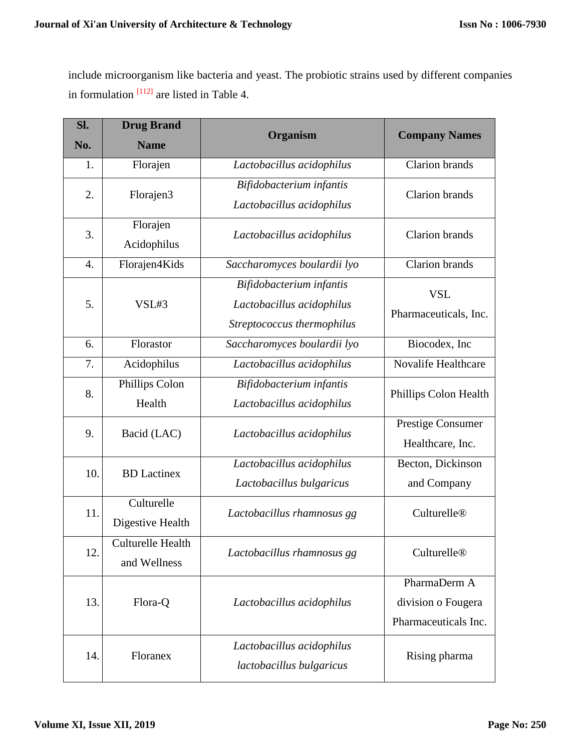include microorganism like bacteria and yeast. The probiotic strains used by different companies in formulation  $[112]$  are listed in Table 4.

| Sl.<br>No. | <b>Drug Brand</b><br><b>Name</b> | Organism                    | <b>Company Names</b>    |
|------------|----------------------------------|-----------------------------|-------------------------|
| 1.         | Florajen                         | Lactobacillus acidophilus   | <b>Clarion</b> brands   |
| 2.         | Florajen3                        | Bifidobacterium infantis    | Clarion brands          |
|            |                                  | Lactobacillus acidophilus   |                         |
| 3.         | Florajen                         | Lactobacillus acidophilus   | <b>Clarion</b> brands   |
|            | Acidophilus                      |                             |                         |
| 4.         | Florajen4Kids                    | Saccharomyces boulardii lyo | <b>Clarion</b> brands   |
|            |                                  | Bifidobacterium infantis    | <b>VSL</b>              |
| 5.         | VSL#3                            | Lactobacillus acidophilus   | Pharmaceuticals, Inc.   |
|            |                                  | Streptococcus thermophilus  |                         |
| 6.         | Florastor                        | Saccharomyces boulardii lyo | Biocodex, Inc           |
| 7.         | Acidophilus                      | Lactobacillus acidophilus   | Novalife Healthcare     |
| 8.         | Phillips Colon                   | Bifidobacterium infantis    | Phillips Colon Health   |
|            | Health                           | Lactobacillus acidophilus   |                         |
| 9.         | Bacid (LAC)                      | Lactobacillus acidophilus   | Prestige Consumer       |
|            |                                  |                             | Healthcare, Inc.        |
| 10.        | <b>BD</b> Lactinex               | Lactobacillus acidophilus   | Becton, Dickinson       |
|            |                                  | Lactobacillus bulgaricus    | and Company             |
| 11.        | Culturelle<br>Digestive Health   | Lactobacillus rhamnosus gg  | Culturelle <sup>®</sup> |
|            |                                  |                             |                         |
| 12.        | Culturelle Health                | Lactobacillus rhamnosus gg  | Culturelle®             |
|            | and Wellness                     |                             |                         |
|            |                                  |                             | PharmaDerm A            |
| 13.        | Flora-Q                          | Lactobacillus acidophilus   | division o Fougera      |
|            |                                  |                             | Pharmaceuticals Inc.    |
| 14.        |                                  | Lactobacillus acidophilus   | Rising pharma           |
|            | Floranex                         | lactobacillus bulgaricus    |                         |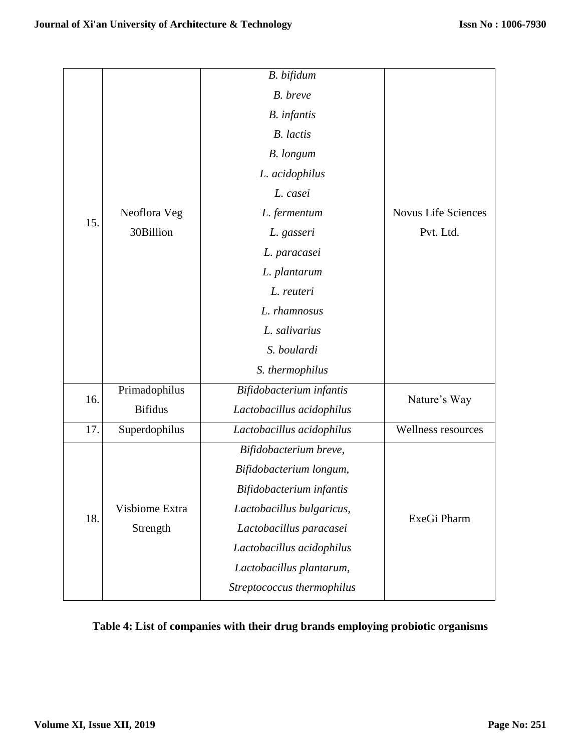|     |                | B. bifidum                 |                            |
|-----|----------------|----------------------------|----------------------------|
|     |                | B. breve                   |                            |
|     |                | <b>B.</b> infantis         |                            |
|     |                | <b>B.</b> lactis           |                            |
|     |                | <b>B.</b> longum           |                            |
|     |                | L. acidophilus             |                            |
|     |                | L. casei                   |                            |
|     | Neoflora Veg   | L. fermentum               | <b>Novus Life Sciences</b> |
| 15. | 30Billion      | L. gasseri                 | Pvt. Ltd.                  |
|     |                | L. paracasei               |                            |
|     |                | L. plantarum               |                            |
|     |                | L. reuteri                 |                            |
|     |                | L. rhamnosus               |                            |
|     |                | L. salivarius              |                            |
|     |                | S. boulardi                |                            |
|     |                | S. thermophilus            |                            |
| 16. | Primadophilus  | Bifidobacterium infantis   |                            |
|     | <b>Bifidus</b> | Lactobacillus acidophilus  | Nature's Way               |
| 17. | Superdophilus  | Lactobacillus acidophilus  | Wellness resources         |
|     | Visbiome Extra | Bifidobacterium breve,     |                            |
| 18. |                | Bifidobacterium longum,    |                            |
|     |                | Bifidobacterium infantis   |                            |
|     |                | Lactobacillus bulgaricus,  | ExeGi Pharm                |
|     | Strength       | Lactobacillus paracasei    |                            |
|     |                | Lactobacillus acidophilus  |                            |
|     |                | Lactobacillus plantarum,   |                            |
|     |                | Streptococcus thermophilus |                            |

## **Table 4: List of companies with their drug brands employing probiotic organisms**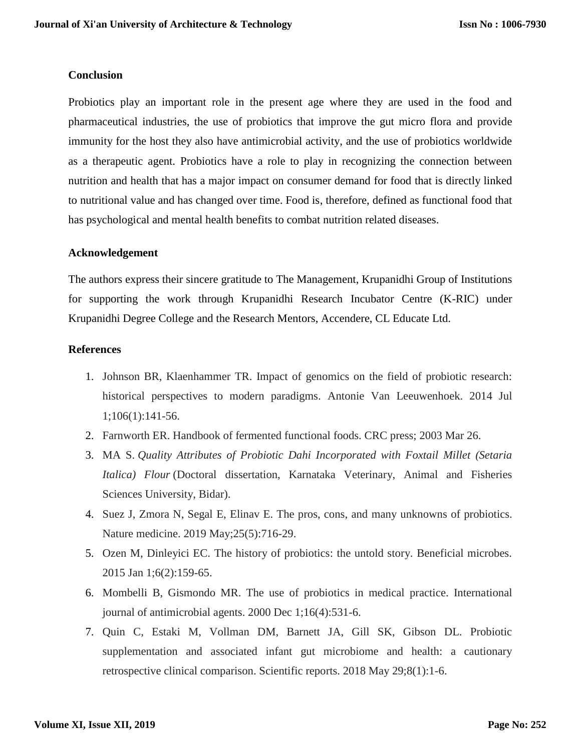#### **Conclusion**

Probiotics play an important role in the present age where they are used in the food and pharmaceutical industries, the use of probiotics that improve the gut micro flora and provide immunity for the host they also have antimicrobial activity, and the use of probiotics worldwide as a therapeutic agent. Probiotics have a role to play in recognizing the connection between nutrition and health that has a major impact on consumer demand for food that is directly linked to nutritional value and has changed over time. Food is, therefore, defined as functional food that has psychological and mental health benefits to combat nutrition related diseases.

### **Acknowledgement**

The authors express their sincere gratitude to The Management, Krupanidhi Group of Institutions for supporting the work through Krupanidhi Research Incubator Centre (K-RIC) under Krupanidhi Degree College and the Research Mentors, Accendere, CL Educate Ltd.

#### **References**

- 1. Johnson BR, Klaenhammer TR. Impact of genomics on the field of probiotic research: historical perspectives to modern paradigms. Antonie Van Leeuwenhoek. 2014 Jul 1;106(1):141-56.
- 2. Farnworth ER. Handbook of fermented functional foods. CRC press; 2003 Mar 26.
- 3. MA S. *Quality Attributes of Probiotic Dahi Incorporated with Foxtail Millet (Setaria Italica) Flour* (Doctoral dissertation, Karnataka Veterinary, Animal and Fisheries Sciences University, Bidar).
- 4. Suez J, Zmora N, Segal E, Elinav E. The pros, cons, and many unknowns of probiotics. Nature medicine. 2019 May;25(5):716-29.
- 5. Ozen M, Dinleyici EC. The history of probiotics: the untold story. Beneficial microbes. 2015 Jan 1;6(2):159-65.
- 6. Mombelli B, Gismondo MR. The use of probiotics in medical practice. International journal of antimicrobial agents. 2000 Dec 1;16(4):531-6.
- 7. Quin C, Estaki M, Vollman DM, Barnett JA, Gill SK, Gibson DL. Probiotic supplementation and associated infant gut microbiome and health: a cautionary retrospective clinical comparison. Scientific reports. 2018 May 29;8(1):1-6.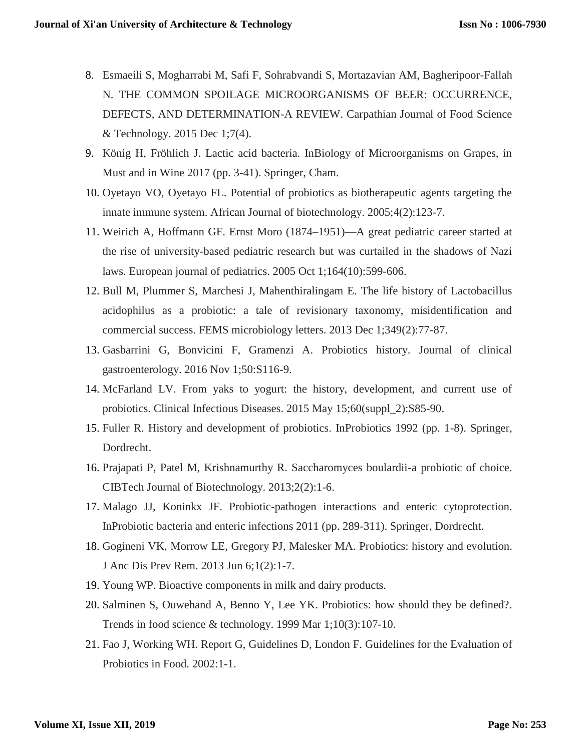- 8. Esmaeili S, Mogharrabi M, Safi F, Sohrabvandi S, Mortazavian AM, Bagheripoor-Fallah N. THE COMMON SPOILAGE MICROORGANISMS OF BEER: OCCURRENCE, DEFECTS, AND DETERMINATION-A REVIEW. Carpathian Journal of Food Science & Technology. 2015 Dec 1;7(4).
- 9. König H, Fröhlich J. Lactic acid bacteria. InBiology of Microorganisms on Grapes, in Must and in Wine 2017 (pp. 3-41). Springer, Cham.
- 10. Oyetayo VO, Oyetayo FL. Potential of probiotics as biotherapeutic agents targeting the innate immune system. African Journal of biotechnology. 2005;4(2):123-7.
- 11. Weirich A, Hoffmann GF. Ernst Moro (1874–1951)—A great pediatric career started at the rise of university-based pediatric research but was curtailed in the shadows of Nazi laws. European journal of pediatrics. 2005 Oct 1;164(10):599-606.
- 12. Bull M, Plummer S, Marchesi J, Mahenthiralingam E. The life history of Lactobacillus acidophilus as a probiotic: a tale of revisionary taxonomy, misidentification and commercial success. FEMS microbiology letters. 2013 Dec 1;349(2):77-87.
- 13. Gasbarrini G, Bonvicini F, Gramenzi A. Probiotics history. Journal of clinical gastroenterology. 2016 Nov 1;50:S116-9.
- 14. McFarland LV. From yaks to yogurt: the history, development, and current use of probiotics. Clinical Infectious Diseases. 2015 May 15;60(suppl\_2):S85-90.
- 15. Fuller R. History and development of probiotics. InProbiotics 1992 (pp. 1-8). Springer, Dordrecht.
- 16. Prajapati P, Patel M, Krishnamurthy R. Saccharomyces boulardii-a probiotic of choice. CIBTech Journal of Biotechnology. 2013;2(2):1-6.
- 17. Malago JJ, Koninkx JF. Probiotic-pathogen interactions and enteric cytoprotection. InProbiotic bacteria and enteric infections 2011 (pp. 289-311). Springer, Dordrecht.
- 18. Gogineni VK, Morrow LE, Gregory PJ, Malesker MA. Probiotics: history and evolution. J Anc Dis Prev Rem. 2013 Jun 6;1(2):1-7.
- 19. Young WP. Bioactive components in milk and dairy products.
- 20. Salminen S, Ouwehand A, Benno Y, Lee YK. Probiotics: how should they be defined?. Trends in food science & technology. 1999 Mar 1;10(3):107-10.
- 21. Fao J, Working WH. Report G, Guidelines D, London F. Guidelines for the Evaluation of Probiotics in Food. 2002:1-1.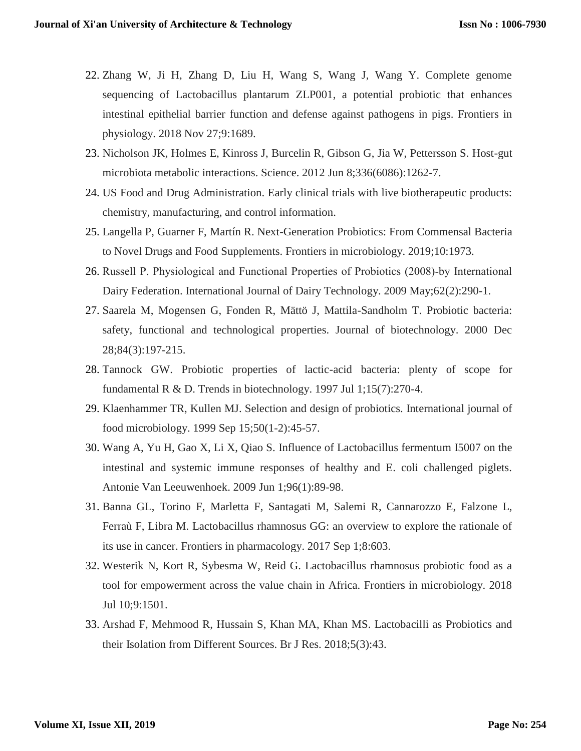- 22. Zhang W, Ji H, Zhang D, Liu H, Wang S, Wang J, Wang Y. Complete genome sequencing of Lactobacillus plantarum ZLP001, a potential probiotic that enhances intestinal epithelial barrier function and defense against pathogens in pigs. Frontiers in physiology. 2018 Nov 27;9:1689.
- 23. Nicholson JK, Holmes E, Kinross J, Burcelin R, Gibson G, Jia W, Pettersson S. Host-gut microbiota metabolic interactions. Science. 2012 Jun 8;336(6086):1262-7.
- 24. US Food and Drug Administration. Early clinical trials with live biotherapeutic products: chemistry, manufacturing, and control information.
- 25. Langella P, Guarner F, Martín R. Next-Generation Probiotics: From Commensal Bacteria to Novel Drugs and Food Supplements. Frontiers in microbiology. 2019;10:1973.
- 26. Russell P. Physiological and Functional Properties of Probiotics (2008)‐by International Dairy Federation. International Journal of Dairy Technology. 2009 May;62(2):290-1.
- 27. Saarela M, Mogensen G, Fonden R, Mättö J, Mattila-Sandholm T. Probiotic bacteria: safety, functional and technological properties. Journal of biotechnology. 2000 Dec 28;84(3):197-215.
- 28. Tannock GW. Probiotic properties of lactic-acid bacteria: plenty of scope for fundamental R & D. Trends in biotechnology. 1997 Jul 1;15(7):270-4.
- 29. Klaenhammer TR, Kullen MJ. Selection and design of probiotics. International journal of food microbiology. 1999 Sep 15;50(1-2):45-57.
- 30. Wang A, Yu H, Gao X, Li X, Qiao S. Influence of Lactobacillus fermentum I5007 on the intestinal and systemic immune responses of healthy and E. coli challenged piglets. Antonie Van Leeuwenhoek. 2009 Jun 1;96(1):89-98.
- 31. Banna GL, Torino F, Marletta F, Santagati M, Salemi R, Cannarozzo E, Falzone L, Ferraù F, Libra M. Lactobacillus rhamnosus GG: an overview to explore the rationale of its use in cancer. Frontiers in pharmacology. 2017 Sep 1;8:603.
- 32. Westerik N, Kort R, Sybesma W, Reid G. Lactobacillus rhamnosus probiotic food as a tool for empowerment across the value chain in Africa. Frontiers in microbiology. 2018 Jul 10;9:1501.
- 33. Arshad F, Mehmood R, Hussain S, Khan MA, Khan MS. Lactobacilli as Probiotics and their Isolation from Different Sources. Br J Res. 2018;5(3):43.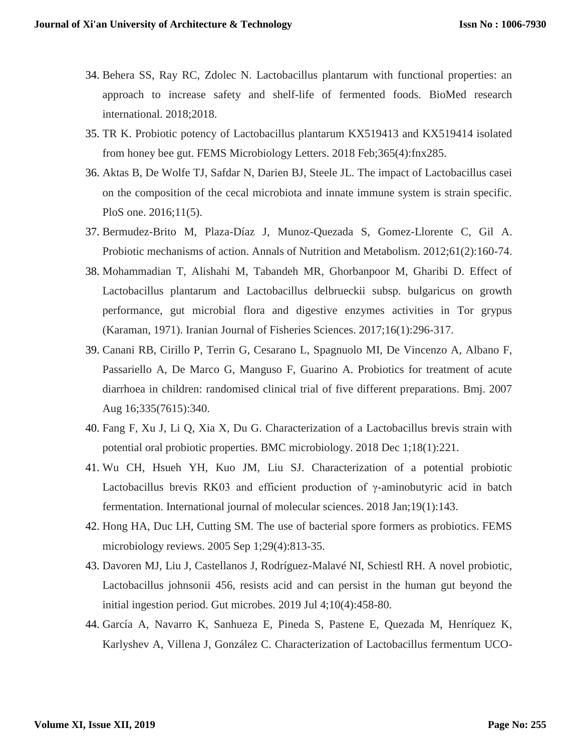- 34. Behera SS, Ray RC, Zdolec N. Lactobacillus plantarum with functional properties: an approach to increase safety and shelf-life of fermented foods. BioMed research international. 2018;2018.
- 35. TR K. Probiotic potency of Lactobacillus plantarum KX519413 and KX519414 isolated from honey bee gut. FEMS Microbiology Letters. 2018 Feb;365(4):fnx285.
- 36. Aktas B, De Wolfe TJ, Safdar N, Darien BJ, Steele JL. The impact of Lactobacillus casei on the composition of the cecal microbiota and innate immune system is strain specific. PloS one. 2016;11(5).
- 37. Bermudez-Brito M, Plaza-Díaz J, Munoz-Quezada S, Gomez-Llorente C, Gil A. Probiotic mechanisms of action. Annals of Nutrition and Metabolism. 2012;61(2):160-74.
- 38. Mohammadian T, Alishahi M, Tabandeh MR, Ghorbanpoor M, Gharibi D. Effect of Lactobacillus plantarum and Lactobacillus delbrueckii subsp. bulgaricus on growth performance, gut microbial flora and digestive enzymes activities in Tor grypus (Karaman, 1971). Iranian Journal of Fisheries Sciences. 2017;16(1):296-317.
- 39. Canani RB, Cirillo P, Terrin G, Cesarano L, Spagnuolo MI, De Vincenzo A, Albano F, Passariello A, De Marco G, Manguso F, Guarino A. Probiotics for treatment of acute diarrhoea in children: randomised clinical trial of five different preparations. Bmj. 2007 Aug 16;335(7615):340.
- 40. Fang F, Xu J, Li Q, Xia X, Du G. Characterization of a Lactobacillus brevis strain with potential oral probiotic properties. BMC microbiology. 2018 Dec 1;18(1):221.
- 41. Wu CH, Hsueh YH, Kuo JM, Liu SJ. Characterization of a potential probiotic Lactobacillus brevis RK03 and efficient production of γ-aminobutyric acid in batch fermentation. International journal of molecular sciences. 2018 Jan;19(1):143.
- 42. Hong HA, Duc LH, Cutting SM. The use of bacterial spore formers as probiotics. FEMS microbiology reviews. 2005 Sep 1;29(4):813-35.
- 43. Davoren MJ, Liu J, Castellanos J, Rodríguez-Malavé NI, Schiestl RH. A novel probiotic, Lactobacillus johnsonii 456, resists acid and can persist in the human gut beyond the initial ingestion period. Gut microbes. 2019 Jul 4;10(4):458-80.
- 44. García A, Navarro K, Sanhueza E, Pineda S, Pastene E, Quezada M, Henríquez K, Karlyshev A, Villena J, González C. Characterization of Lactobacillus fermentum UCO-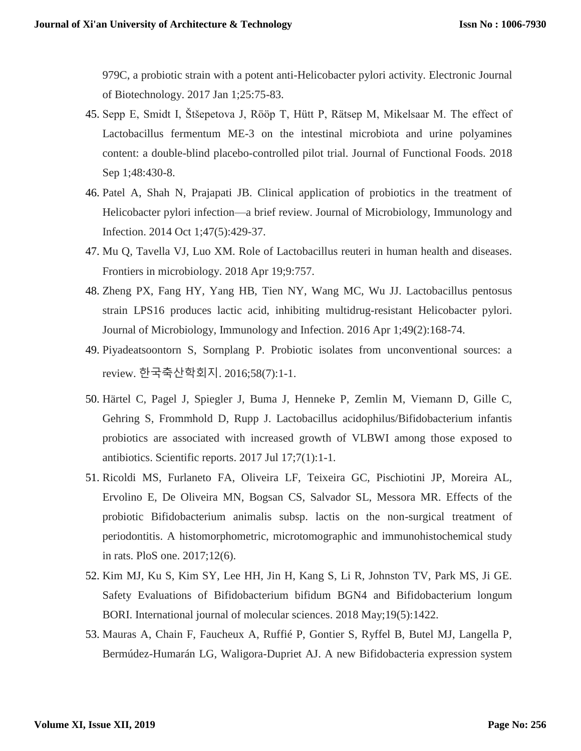979C, a probiotic strain with a potent anti-Helicobacter pylori activity. Electronic Journal of Biotechnology. 2017 Jan 1;25:75-83.

- 45. Sepp E, Smidt I, Štšepetova J, Rööp T, Hütt P, Rätsep M, Mikelsaar M. The effect of Lactobacillus fermentum ME-3 on the intestinal microbiota and urine polyamines content: a double-blind placebo-controlled pilot trial. Journal of Functional Foods. 2018 Sep 1;48:430-8.
- 46. Patel A, Shah N, Prajapati JB. Clinical application of probiotics in the treatment of Helicobacter pylori infection—a brief review. Journal of Microbiology, Immunology and Infection. 2014 Oct 1;47(5):429-37.
- 47. Mu Q, Tavella VJ, Luo XM. Role of Lactobacillus reuteri in human health and diseases. Frontiers in microbiology. 2018 Apr 19;9:757.
- 48. Zheng PX, Fang HY, Yang HB, Tien NY, Wang MC, Wu JJ. Lactobacillus pentosus strain LPS16 produces lactic acid, inhibiting multidrug-resistant Helicobacter pylori. Journal of Microbiology, Immunology and Infection. 2016 Apr 1;49(2):168-74.
- 49. Piyadeatsoontorn S, Sornplang P. Probiotic isolates from unconventional sources: a review. 한국축산학회지. 2016;58(7):1-1.
- 50. Härtel C, Pagel J, Spiegler J, Buma J, Henneke P, Zemlin M, Viemann D, Gille C, Gehring S, Frommhold D, Rupp J. Lactobacillus acidophilus/Bifidobacterium infantis probiotics are associated with increased growth of VLBWI among those exposed to antibiotics. Scientific reports. 2017 Jul 17;7(1):1-1.
- 51. Ricoldi MS, Furlaneto FA, Oliveira LF, Teixeira GC, Pischiotini JP, Moreira AL, Ervolino E, De Oliveira MN, Bogsan CS, Salvador SL, Messora MR. Effects of the probiotic Bifidobacterium animalis subsp. lactis on the non-surgical treatment of periodontitis. A histomorphometric, microtomographic and immunohistochemical study in rats. PloS one. 2017;12(6).
- 52. Kim MJ, Ku S, Kim SY, Lee HH, Jin H, Kang S, Li R, Johnston TV, Park MS, Ji GE. Safety Evaluations of Bifidobacterium bifidum BGN4 and Bifidobacterium longum BORI. International journal of molecular sciences. 2018 May;19(5):1422.
- 53. Mauras A, Chain F, Faucheux A, Ruffié P, Gontier S, Ryffel B, Butel MJ, Langella P, Bermúdez-Humarán LG, Waligora-Dupriet AJ. A new Bifidobacteria expression system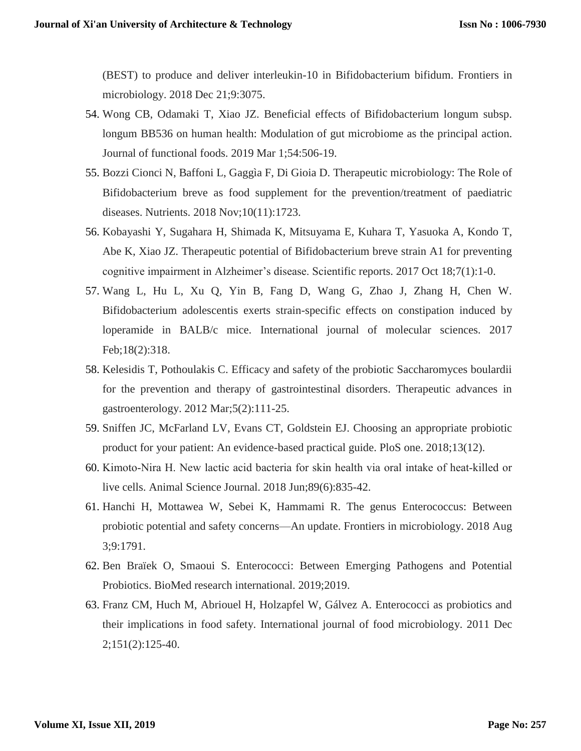(BEST) to produce and deliver interleukin-10 in Bifidobacterium bifidum. Frontiers in microbiology. 2018 Dec 21;9:3075.

- 54. Wong CB, Odamaki T, Xiao JZ. Beneficial effects of Bifidobacterium longum subsp. longum BB536 on human health: Modulation of gut microbiome as the principal action. Journal of functional foods. 2019 Mar 1;54:506-19.
- 55. Bozzi Cionci N, Baffoni L, Gaggìa F, Di Gioia D. Therapeutic microbiology: The Role of Bifidobacterium breve as food supplement for the prevention/treatment of paediatric diseases. Nutrients. 2018 Nov;10(11):1723.
- 56. Kobayashi Y, Sugahara H, Shimada K, Mitsuyama E, Kuhara T, Yasuoka A, Kondo T, Abe K, Xiao JZ. Therapeutic potential of Bifidobacterium breve strain A1 for preventing cognitive impairment in Alzheimer's disease. Scientific reports. 2017 Oct 18;7(1):1-0.
- 57. Wang L, Hu L, Xu Q, Yin B, Fang D, Wang G, Zhao J, Zhang H, Chen W. Bifidobacterium adolescentis exerts strain-specific effects on constipation induced by loperamide in BALB/c mice. International journal of molecular sciences. 2017 Feb;18(2):318.
- 58. Kelesidis T, Pothoulakis C. Efficacy and safety of the probiotic Saccharomyces boulardii for the prevention and therapy of gastrointestinal disorders. Therapeutic advances in gastroenterology. 2012 Mar;5(2):111-25.
- 59. Sniffen JC, McFarland LV, Evans CT, Goldstein EJ. Choosing an appropriate probiotic product for your patient: An evidence-based practical guide. PloS one. 2018;13(12).
- 60. Kimoto‐Nira H. New lactic acid bacteria for skin health via oral intake of heat‐killed or live cells. Animal Science Journal. 2018 Jun;89(6):835-42.
- 61. Hanchi H, Mottawea W, Sebei K, Hammami R. The genus Enterococcus: Between probiotic potential and safety concerns—An update. Frontiers in microbiology. 2018 Aug 3;9:1791.
- 62. Ben Braïek O, Smaoui S. Enterococci: Between Emerging Pathogens and Potential Probiotics. BioMed research international. 2019;2019.
- 63. Franz CM, Huch M, Abriouel H, Holzapfel W, Gálvez A. Enterococci as probiotics and their implications in food safety. International journal of food microbiology. 2011 Dec 2;151(2):125-40.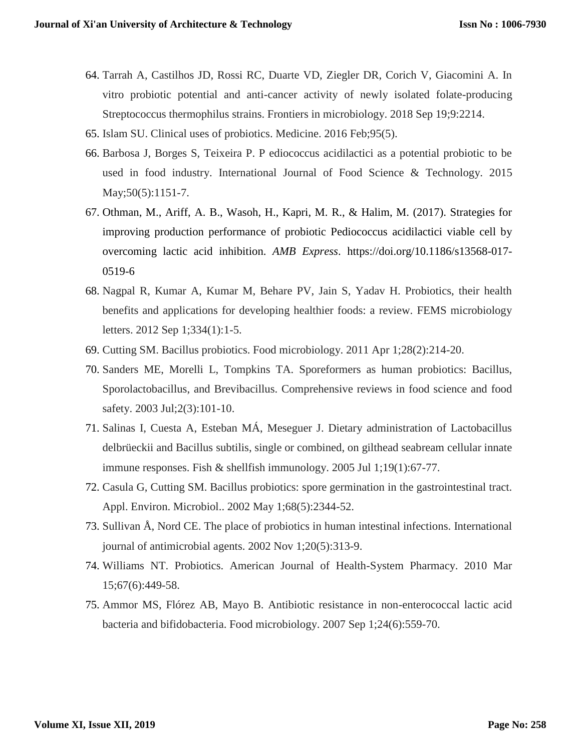- 64. Tarrah A, Castilhos JD, Rossi RC, Duarte VD, Ziegler DR, Corich V, Giacomini A. In vitro probiotic potential and anti-cancer activity of newly isolated folate-producing Streptococcus thermophilus strains. Frontiers in microbiology. 2018 Sep 19;9:2214.
- 65. Islam SU. Clinical uses of probiotics. Medicine. 2016 Feb;95(5).
- 66. Barbosa J, Borges S, Teixeira P. P ediococcus acidilactici as a potential probiotic to be used in food industry. International Journal of Food Science & Technology. 2015 May; 50(5): 1151-7.
- 67. Othman, M., Ariff, A. B., Wasoh, H., Kapri, M. R., & Halim, M. (2017). Strategies for improving production performance of probiotic Pediococcus acidilactici viable cell by overcoming lactic acid inhibition. *AMB Express*. https://doi.org/10.1186/s13568-017- 0519-6
- 68. Nagpal R, Kumar A, Kumar M, Behare PV, Jain S, Yadav H. Probiotics, their health benefits and applications for developing healthier foods: a review. FEMS microbiology letters. 2012 Sep 1;334(1):1-5.
- 69. Cutting SM. Bacillus probiotics. Food microbiology. 2011 Apr 1;28(2):214-20.
- 70. Sanders ME, Morelli L, Tompkins TA. Sporeformers as human probiotics: Bacillus, Sporolactobacillus, and Brevibacillus. Comprehensive reviews in food science and food safety. 2003 Jul;2(3):101-10.
- 71. Salinas I, Cuesta A, Esteban MÁ, Meseguer J. Dietary administration of Lactobacillus delbrüeckii and Bacillus subtilis, single or combined, on gilthead seabream cellular innate immune responses. Fish & shellfish immunology. 2005 Jul 1;19(1):67-77.
- 72. Casula G, Cutting SM. Bacillus probiotics: spore germination in the gastrointestinal tract. Appl. Environ. Microbiol.. 2002 May 1;68(5):2344-52.
- 73. Sullivan Å, Nord CE. The place of probiotics in human intestinal infections. International journal of antimicrobial agents. 2002 Nov 1;20(5):313-9.
- 74. Williams NT. Probiotics. American Journal of Health-System Pharmacy. 2010 Mar 15;67(6):449-58.
- 75. Ammor MS, Flórez AB, Mayo B. Antibiotic resistance in non-enterococcal lactic acid bacteria and bifidobacteria. Food microbiology. 2007 Sep 1;24(6):559-70.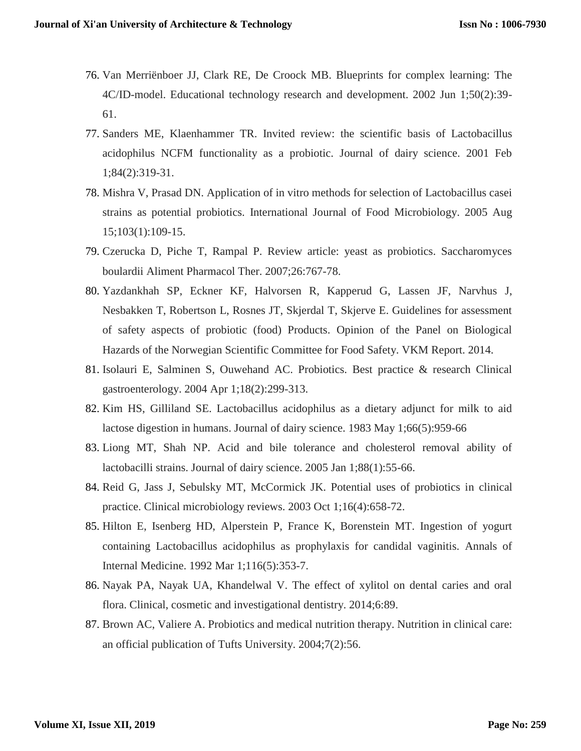- 76. Van Merriënboer JJ, Clark RE, De Croock MB. Blueprints for complex learning: The 4C/ID-model. Educational technology research and development. 2002 Jun 1;50(2):39- 61.
- 77. Sanders ME, Klaenhammer TR. Invited review: the scientific basis of Lactobacillus acidophilus NCFM functionality as a probiotic. Journal of dairy science. 2001 Feb 1;84(2):319-31.
- 78. Mishra V, Prasad DN. Application of in vitro methods for selection of Lactobacillus casei strains as potential probiotics. International Journal of Food Microbiology. 2005 Aug 15;103(1):109-15.
- 79. Czerucka D, Piche T, Rampal P. Review article: yeast as probiotics. Saccharomyces boulardii Aliment Pharmacol Ther. 2007;26:767-78.
- 80. Yazdankhah SP, Eckner KF, Halvorsen R, Kapperud G, Lassen JF, Narvhus J, Nesbakken T, Robertson L, Rosnes JT, Skjerdal T, Skjerve E. Guidelines for assessment of safety aspects of probiotic (food) Products. Opinion of the Panel on Biological Hazards of the Norwegian Scientific Committee for Food Safety. VKM Report. 2014.
- 81. Isolauri E, Salminen S, Ouwehand AC. Probiotics. Best practice & research Clinical gastroenterology. 2004 Apr 1;18(2):299-313.
- 82. Kim HS, Gilliland SE. Lactobacillus acidophilus as a dietary adjunct for milk to aid lactose digestion in humans. Journal of dairy science. 1983 May 1;66(5):959-66
- 83. Liong MT, Shah NP. Acid and bile tolerance and cholesterol removal ability of lactobacilli strains. Journal of dairy science. 2005 Jan 1;88(1):55-66.
- 84. Reid G, Jass J, Sebulsky MT, McCormick JK. Potential uses of probiotics in clinical practice. Clinical microbiology reviews. 2003 Oct 1;16(4):658-72.
- 85. Hilton E, Isenberg HD, Alperstein P, France K, Borenstein MT. Ingestion of yogurt containing Lactobacillus acidophilus as prophylaxis for candidal vaginitis. Annals of Internal Medicine. 1992 Mar 1;116(5):353-7.
- 86. Nayak PA, Nayak UA, Khandelwal V. The effect of xylitol on dental caries and oral flora. Clinical, cosmetic and investigational dentistry. 2014;6:89.
- 87. Brown AC, Valiere A. Probiotics and medical nutrition therapy. Nutrition in clinical care: an official publication of Tufts University. 2004;7(2):56.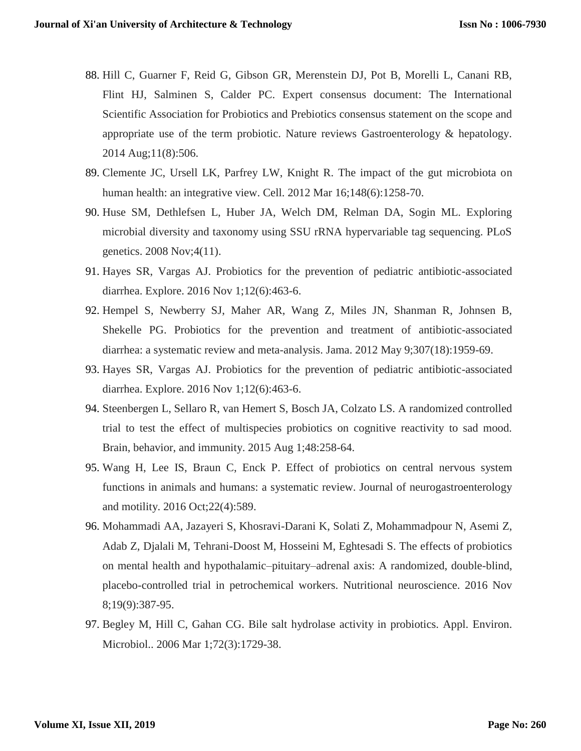- 88. Hill C, Guarner F, Reid G, Gibson GR, Merenstein DJ, Pot B, Morelli L, Canani RB, Flint HJ, Salminen S, Calder PC. Expert consensus document: The International Scientific Association for Probiotics and Prebiotics consensus statement on the scope and appropriate use of the term probiotic. Nature reviews Gastroenterology & hepatology. 2014 Aug;11(8):506.
- 89. Clemente JC, Ursell LK, Parfrey LW, Knight R. The impact of the gut microbiota on human health: an integrative view. Cell. 2012 Mar 16;148(6):1258-70.
- 90. Huse SM, Dethlefsen L, Huber JA, Welch DM, Relman DA, Sogin ML. Exploring microbial diversity and taxonomy using SSU rRNA hypervariable tag sequencing. PLoS genetics. 2008 Nov;4(11).
- 91. Hayes SR, Vargas AJ. Probiotics for the prevention of pediatric antibiotic-associated diarrhea. Explore. 2016 Nov 1;12(6):463-6.
- 92. Hempel S, Newberry SJ, Maher AR, Wang Z, Miles JN, Shanman R, Johnsen B, Shekelle PG. Probiotics for the prevention and treatment of antibiotic-associated diarrhea: a systematic review and meta-analysis. Jama. 2012 May 9;307(18):1959-69.
- 93. Hayes SR, Vargas AJ. Probiotics for the prevention of pediatric antibiotic-associated diarrhea. Explore. 2016 Nov 1;12(6):463-6.
- 94. Steenbergen L, Sellaro R, van Hemert S, Bosch JA, Colzato LS. A randomized controlled trial to test the effect of multispecies probiotics on cognitive reactivity to sad mood. Brain, behavior, and immunity. 2015 Aug 1;48:258-64.
- 95. Wang H, Lee IS, Braun C, Enck P. Effect of probiotics on central nervous system functions in animals and humans: a systematic review. Journal of neurogastroenterology and motility. 2016 Oct;22(4):589.
- 96. Mohammadi AA, Jazayeri S, Khosravi-Darani K, Solati Z, Mohammadpour N, Asemi Z, Adab Z, Djalali M, Tehrani-Doost M, Hosseini M, Eghtesadi S. The effects of probiotics on mental health and hypothalamic–pituitary–adrenal axis: A randomized, double-blind, placebo-controlled trial in petrochemical workers. Nutritional neuroscience. 2016 Nov 8;19(9):387-95.
- 97. Begley M, Hill C, Gahan CG. Bile salt hydrolase activity in probiotics. Appl. Environ. Microbiol.. 2006 Mar 1;72(3):1729-38.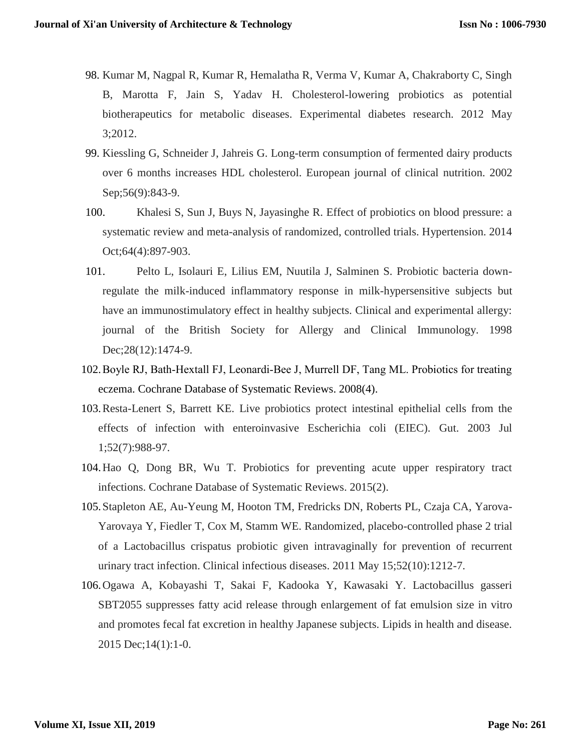- 98. Kumar M, Nagpal R, Kumar R, Hemalatha R, Verma V, Kumar A, Chakraborty C, Singh B, Marotta F, Jain S, Yadav H. Cholesterol-lowering probiotics as potential biotherapeutics for metabolic diseases. Experimental diabetes research. 2012 May 3;2012.
- 99. Kiessling G, Schneider J, Jahreis G. Long-term consumption of fermented dairy products over 6 months increases HDL cholesterol. European journal of clinical nutrition. 2002 Sep;56(9):843-9.
- 100. Khalesi S, Sun J, Buys N, Jayasinghe R. Effect of probiotics on blood pressure: a systematic review and meta-analysis of randomized, controlled trials. Hypertension. 2014 Oct;64(4):897-903.
- 101. Pelto L, Isolauri E, Lilius EM, Nuutila J, Salminen S. Probiotic bacteria downregulate the milk-induced inflammatory response in milk-hypersensitive subjects but have an immunostimulatory effect in healthy subjects. Clinical and experimental allergy: journal of the British Society for Allergy and Clinical Immunology. 1998 Dec; 28(12): 1474-9.
- 102.Boyle RJ, Bath‐Hextall FJ, Leonardi‐Bee J, Murrell DF, Tang ML. Probiotics for treating eczema. Cochrane Database of Systematic Reviews. 2008(4).
- 103.Resta-Lenert S, Barrett KE. Live probiotics protect intestinal epithelial cells from the effects of infection with enteroinvasive Escherichia coli (EIEC). Gut. 2003 Jul 1;52(7):988-97.
- 104.Hao Q, Dong BR, Wu T. Probiotics for preventing acute upper respiratory tract infections. Cochrane Database of Systematic Reviews. 2015(2).
- 105.Stapleton AE, Au-Yeung M, Hooton TM, Fredricks DN, Roberts PL, Czaja CA, Yarova-Yarovaya Y, Fiedler T, Cox M, Stamm WE. Randomized, placebo-controlled phase 2 trial of a Lactobacillus crispatus probiotic given intravaginally for prevention of recurrent urinary tract infection. Clinical infectious diseases. 2011 May 15;52(10):1212-7.
- 106.Ogawa A, Kobayashi T, Sakai F, Kadooka Y, Kawasaki Y. Lactobacillus gasseri SBT2055 suppresses fatty acid release through enlargement of fat emulsion size in vitro and promotes fecal fat excretion in healthy Japanese subjects. Lipids in health and disease. 2015 Dec;14(1):1-0.